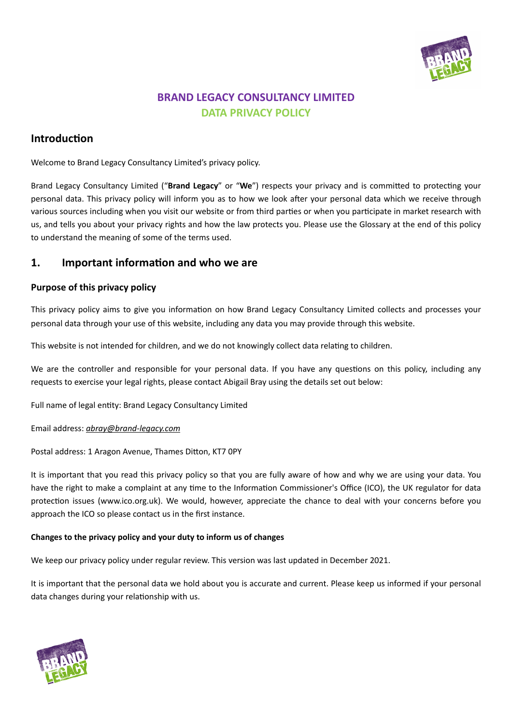

# **BRAND LEGACY CONSULTANCY LIMITED DATA PRIVACY POLICY**

# **Introduction**

Welcome to Brand Legacy Consultancy Limited's privacy policy.

Brand Legacy Consultancy Limited ("**Brand Legacy**" or "**We**") respects your privacy and is committed to protecting your personal data. This privacy policy will inform you as to how we look after your personal data which we receive through various sources including when you visit our website or from third parties or when you participate in market research with us, and tells you about your privacy rights and how the law protects you. Please use the Glossary at the end of this policy to understand the meaning of some of the terms used.

## **1. Important information and who we are**

## **Purpose of this privacy policy**

This privacy policy aims to give you information on how Brand Legacy Consultancy Limited collects and processes your personal data through your use of this website, including any data you may provide through this website.

This website is not intended for children, and we do not knowingly collect data relating to children.

We are the controller and responsible for your personal data. If you have any questions on this policy, including any requests to exercise your legal rights, please contact Abigail Bray using the details set out below:

Full name of legal entity: Brand Legacy Consultancy Limited

## Email address: *[abray@brand-legacy.com](mailto:abray@brand-legacy.com)*

Postal address: 1 Aragon Avenue, Thames Ditton, KT7 0PY

It is important that you read this privacy policy so that you are fully aware of how and why we are using your data. You have the right to make a complaint at any time to the Information Commissioner's Office (ICO), the UK regulator for data protection issues (www.ico.org.uk). We would, however, appreciate the chance to deal with your concerns before you approach the ICO so please contact us in the first instance.

## **Changes to the privacy policy and your duty to inform us of changes**

We keep our privacy policy under regular review. This version was last updated in December 2021.

It is important that the personal data we hold about you is accurate and current. Please keep us informed if your personal data changes during your relationship with us.

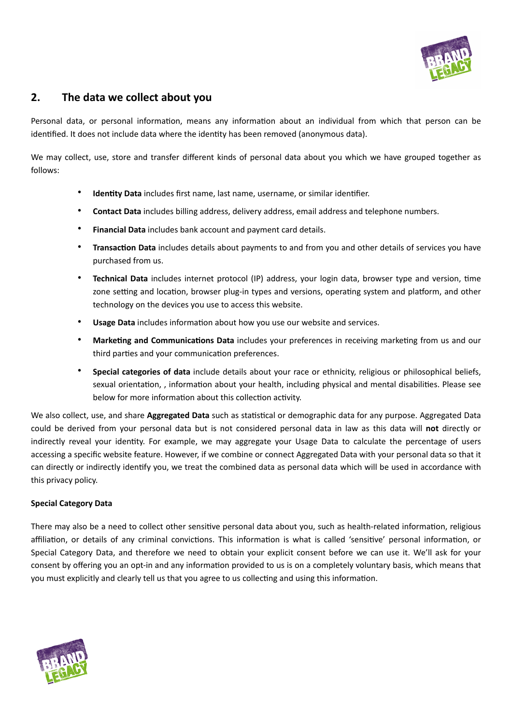

# **2. The data we collect about you**

Personal data, or personal information, means any information about an individual from which that person can be identified. It does not include data where the identity has been removed (anonymous data).

We may collect, use, store and transfer different kinds of personal data about you which we have grouped together as follows:

- **Identity Data** includes first name, last name, username, or similar identifier.
- **Contact Data** includes billing address, delivery address, email address and telephone numbers.
- **Financial Data** includes bank account and payment card details.
- **Transaction Data** includes details about payments to and from you and other details of services you have purchased from us.
- **Technical Data** includes internet protocol (IP) address, your login data, browser type and version, time zone setting and location, browser plug-in types and versions, operating system and platform, and other technology on the devices you use to access this website.
- **Usage Data** includes information about how you use our website and services.
- **Marketing and Communications Data** includes your preferences in receiving marketing from us and our third parties and your communication preferences.
- **Special categories of data** include details about your race or ethnicity, religious or philosophical beliefs, sexual orientation, , information about your health, including physical and mental disabilities. Please see below for more information about this collection activity.

We also collect, use, and share **Aggregated Data** such as statistical or demographic data for any purpose. Aggregated Data could be derived from your personal data but is not considered personal data in law as this data will **not** directly or indirectly reveal your identity. For example, we may aggregate your Usage Data to calculate the percentage of users accessing a specific website feature. However, if we combine or connect Aggregated Data with your personal data so that it can directly or indirectly identify you, we treat the combined data as personal data which will be used in accordance with this privacy policy.

## **Special Category Data**

There may also be a need to collect other sensitive personal data about you, such as health-related information, religious affiliation, or details of any criminal convictions. This information is what is called 'sensitive' personal information, or Special Category Data, and therefore we need to obtain your explicit consent before we can use it. We'll ask for your consent by offering you an opt-in and any information provided to us is on a completely voluntary basis, which means that you must explicitly and clearly tell us that you agree to us collecting and using this information.

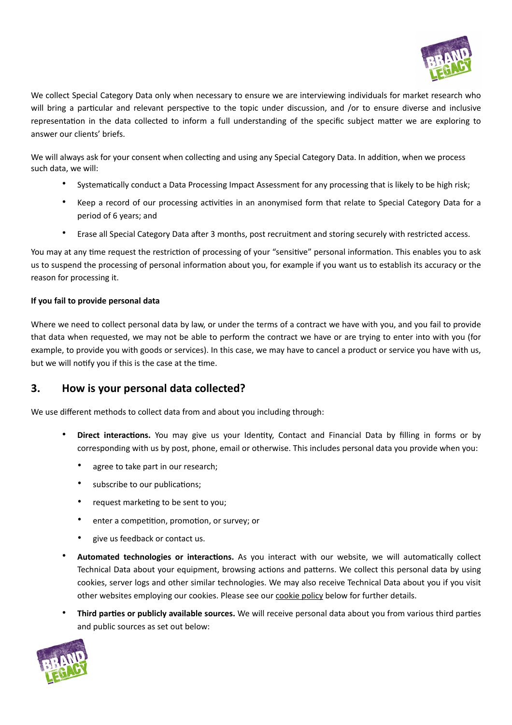

We collect Special Category Data only when necessary to ensure we are interviewing individuals for market research who will bring a particular and relevant perspective to the topic under discussion, and /or to ensure diverse and inclusive representation in the data collected to inform a full understanding of the specific subject matter we are exploring to answer our clients' briefs.

We will always ask for your consent when collecting and using any Special Category Data. In addition, when we process such data, we will:

- Systematically conduct a Data Processing Impact Assessment for any processing that is likely to be high risk;
- Keep a record of our processing activities in an anonymised form that relate to Special Category Data for a period of 6 years; and
- Erase all Special Category Data after 3 months, post recruitment and storing securely with restricted access.

You may at any time request the restriction of processing of your "sensitive" personal information. This enables you to ask us to suspend the processing of personal information about you, for example if you want us to establish its accuracy or the reason for processing it.

## **If you fail to provide personal data**

Where we need to collect personal data by law, or under the terms of a contract we have with you, and you fail to provide that data when requested, we may not be able to perform the contract we have or are trying to enter into with you (for example, to provide you with goods or services). In this case, we may have to cancel a product or service you have with us, but we will notify you if this is the case at the time.

## **3. How is your personal data collected?**

We use different methods to collect data from and about you including through:

- **Direct interactions.** You may give us your Identity, Contact and Financial Data by filling in forms or by corresponding with us by post, phone, email or otherwise. This includes personal data you provide when you:
	- agree to take part in our research;
	- subscribe to our publications;
	- request marketing to be sent to you;
	- enter a competition, promotion, or survey; or
	- give us feedback or contact us.
- **Automated technologies or interactions.** As you interact with our website, we will automatically collect Technical Data about your equipment, browsing actions and patterns. We collect this personal data by using cookies, server logs and other similar technologies. We may also receive Technical Data about you if you visit other websites employing our cookies. Please see our cookie policy below for further details.
- **Third parties or publicly available sources.** We will receive personal data about you from various third parties and public sources as set out below:

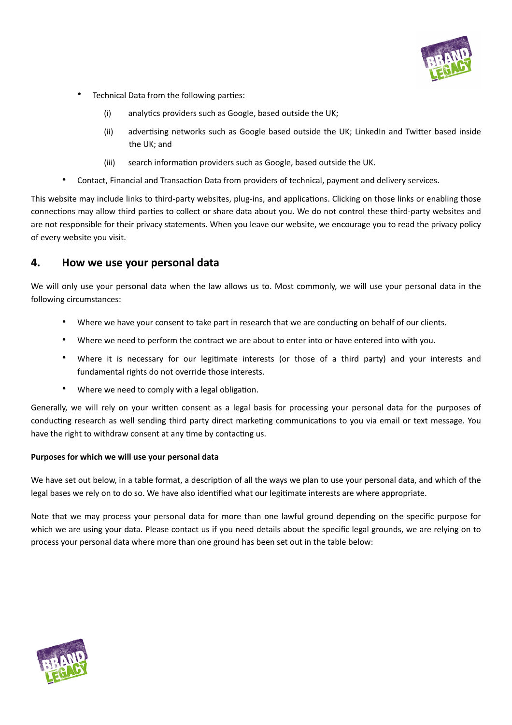

- Technical Data from the following parties:
	- (i) analytics providers such as Google, based outside the UK;
	- (ii) advertising networks such as Google based outside the UK; LinkedIn and Twitter based inside the UK; and
	- (iii) search information providers such as Google, based outside the UK.
- Contact, Financial and Transaction Data from providers of technical, payment and delivery services.

This website may include links to third-party websites, plug-ins, and applications. Clicking on those links or enabling those connections may allow third parties to collect or share data about you. We do not control these third-party websites and are not responsible for their privacy statements. When you leave our website, we encourage you to read the privacy policy of every website you visit.

## **4. How we use your personal data**

We will only use your personal data when the law allows us to. Most commonly, we will use your personal data in the following circumstances:

- Where we have your consent to take part in research that we are conducting on behalf of our clients.
- Where we need to perform the contract we are about to enter into or have entered into with you.
- Where it is necessary for our legitimate interests (or those of a third party) and your interests and fundamental rights do not override those interests.
- Where we need to comply with a legal obligation.

Generally, we will rely on your written consent as a legal basis for processing your personal data for the purposes of conducting research as well sending third party direct marketing communications to you via email or text message. You have the right to withdraw consent at any time by contacting us.

## **Purposes for which we will use your personal data**

We have set out below, in a table format, a description of all the ways we plan to use your personal data, and which of the legal bases we rely on to do so. We have also identified what our legitimate interests are where appropriate.

Note that we may process your personal data for more than one lawful ground depending on the specific purpose for which we are using your data. Please contact us if you need details about the specific legal grounds, we are relying on to process your personal data where more than one ground has been set out in the table below:

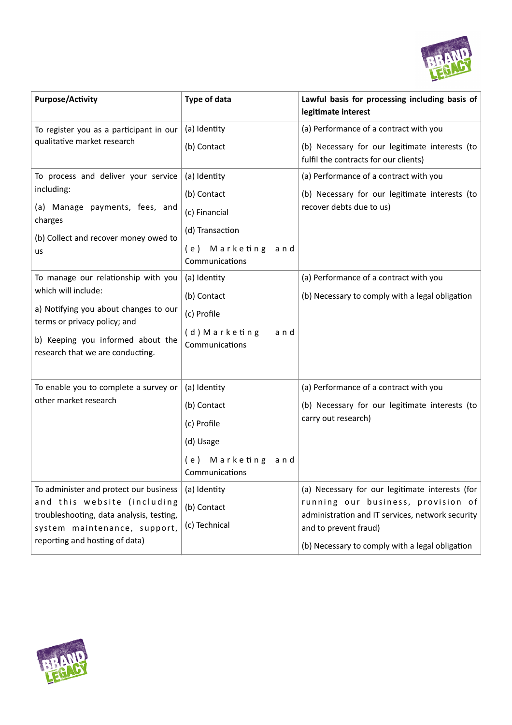

| <b>Purpose/Activity</b>                                                                                                                           | <b>Type of data</b>                         | Lawful basis for processing including basis of<br>legitimate interest                                           |
|---------------------------------------------------------------------------------------------------------------------------------------------------|---------------------------------------------|-----------------------------------------------------------------------------------------------------------------|
| To register you as a participant in our<br>qualitative market research                                                                            | (a) Identity                                | (a) Performance of a contract with you                                                                          |
|                                                                                                                                                   | (b) Contact                                 | (b) Necessary for our legitimate interests (to<br>fulfil the contracts for our clients)                         |
| To process and deliver your service<br>including:                                                                                                 | (a) Identity                                | (a) Performance of a contract with you                                                                          |
|                                                                                                                                                   | (b) Contact                                 | (b) Necessary for our legitimate interests (to                                                                  |
| (a) Manage payments, fees, and<br>charges                                                                                                         | (c) Financial                               | recover debts due to us)                                                                                        |
| (b) Collect and recover money owed to<br>us                                                                                                       | (d) Transaction                             |                                                                                                                 |
|                                                                                                                                                   | (e) Marketing<br>and<br>Communications      |                                                                                                                 |
| To manage our relationship with you<br>which will include:                                                                                        | (a) Identity                                | (a) Performance of a contract with you                                                                          |
|                                                                                                                                                   | (b) Contact                                 | (b) Necessary to comply with a legal obligation                                                                 |
| a) Notifying you about changes to our<br>terms or privacy policy; and                                                                             | (c) Profile                                 |                                                                                                                 |
| b) Keeping you informed about the<br>research that we are conducting.                                                                             | (d) Marketing<br>a n d<br>Communications    |                                                                                                                 |
| To enable you to complete a survey or<br>other market research                                                                                    | (a) Identity                                | (a) Performance of a contract with you                                                                          |
|                                                                                                                                                   | (b) Contact                                 | (b) Necessary for our legitimate interests (to                                                                  |
|                                                                                                                                                   | (c) Profile                                 | carry out research)                                                                                             |
|                                                                                                                                                   | (d) Usage                                   |                                                                                                                 |
|                                                                                                                                                   | Marketing<br>(e)<br>a n d<br>Communications |                                                                                                                 |
| To administer and protect our business<br>and this website (including<br>troubleshooting, data analysis, testing,<br>system maintenance, support, | (a) Identity                                | (a) Necessary for our legitimate interests (for                                                                 |
|                                                                                                                                                   | (b) Contact<br>(c) Technical                | running our business, provision of<br>administration and IT services, network security<br>and to prevent fraud) |
| reporting and hosting of data)                                                                                                                    |                                             | (b) Necessary to comply with a legal obligation                                                                 |

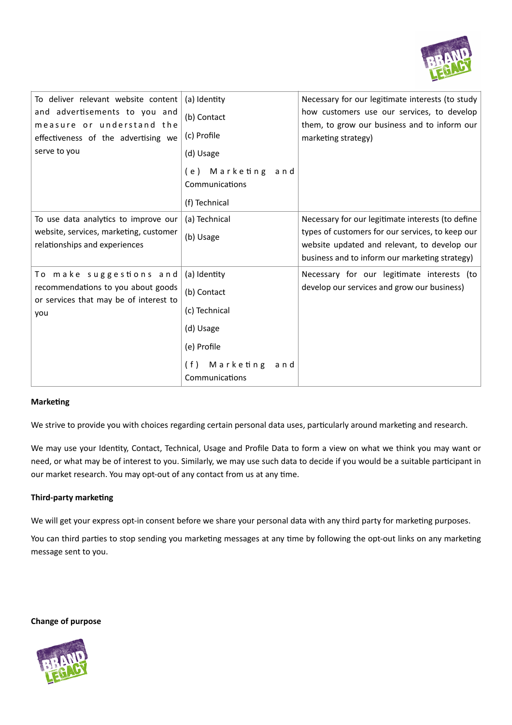

| To deliver relevant website content<br>and advertisements to you and<br>measure or understand the<br>effectiveness of the advertising we<br>serve to you | (a) Identity<br>(b) Contact<br>(c) Profile<br>(d) Usage<br>(e) Marketing<br>and<br>Communications<br>(f) Technical    | Necessary for our legitimate interests (to study<br>how customers use our services, to develop<br>them, to grow our business and to inform our<br>marketing strategy)                                   |
|----------------------------------------------------------------------------------------------------------------------------------------------------------|-----------------------------------------------------------------------------------------------------------------------|---------------------------------------------------------------------------------------------------------------------------------------------------------------------------------------------------------|
| To use data analytics to improve our<br>website, services, marketing, customer<br>relationships and experiences                                          | (a) Technical<br>(b) Usage                                                                                            | Necessary for our legitimate interests (to define<br>types of customers for our services, to keep our<br>website updated and relevant, to develop our<br>business and to inform our marketing strategy) |
| To make suggestions and<br>recommendations to you about goods<br>or services that may be of interest to<br>you                                           | (a) Identity<br>(b) Contact<br>(c) Technical<br>(d) Usage<br>(e) Profile<br>Marketing<br>(f)<br>and<br>Communications | Necessary for our legitimate interests (to<br>develop our services and grow our business)                                                                                                               |

## **Marketing**

We strive to provide you with choices regarding certain personal data uses, particularly around marketing and research.

We may use your Identity, Contact, Technical, Usage and Profile Data to form a view on what we think you may want or need, or what may be of interest to you. Similarly, we may use such data to decide if you would be a suitable participant in our market research. You may opt-out of any contact from us at any time.

## **Third-party marketing**

We will get your express opt-in consent before we share your personal data with any third party for marketing purposes.

You can third parties to stop sending you marketing messages at any time by following the opt-out links on any marketing message sent to you.

### **Change of purpose**

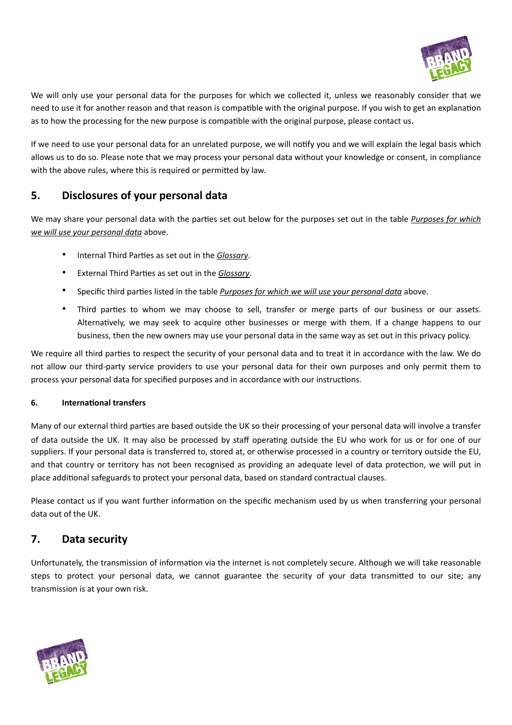

We will only use your personal data for the purposes for which we collected it, unless we reasonably consider that we need to use it for another reason and that reason is compatible with the original purpose. If you wish to get an explanation as to how the processing for the new purpose is compatible with the original purpose, please contact us.

If we need to use your personal data for an unrelated purpose, we will notify you and we will explain the legal basis which allows us to do so. Please note that we may process your personal data without your knowledge or consent, in compliance with the above rules, where this is required or permitted by law.

# **5. Disclosures of your personal data**

We may share your personal data with the parties set out below for the purposes set out in the table *Purposes for which we will use your personal data* above.

- Internal Third Parties as set out in the *Glossary*.
- External Third Parties as set out in the *Glossary*.
- Specific third parties listed in the table *Purposes for which we will use your personal data* above.
- Third parties to whom we may choose to sell, transfer or merge parts of our business or our assets. Alternatively, we may seek to acquire other businesses or merge with them. If a change happens to our business, then the new owners may use your personal data in the same way as set out in this privacy policy.

We require all third parties to respect the security of your personal data and to treat it in accordance with the law. We do not allow our third-party service providers to use your personal data for their own purposes and only permit them to process your personal data for specified purposes and in accordance with our instructions.

## **6. International transfers**

Many of our external third parties are based outside the UK so their processing of your personal data will involve a transfer of data outside the UK. It may also be processed by staff operating outside the EU who work for us or for one of our suppliers. If your personal data is transferred to, stored at, or otherwise processed in a country or territory outside the EU, and that country or territory has not been recognised as providing an adequate level of data protection, we will put in place additional safeguards to protect your personal data, based on standard contractual clauses.

Please contact us if you want further information on the specific mechanism used by us when transferring your personal data out of the UK.

# **7. Data security**

Unfortunately, the transmission of information via the internet is not completely secure. Although we will take reasonable steps to protect your personal data, we cannot guarantee the security of your data transmitted to our site; any transmission is at your own risk.

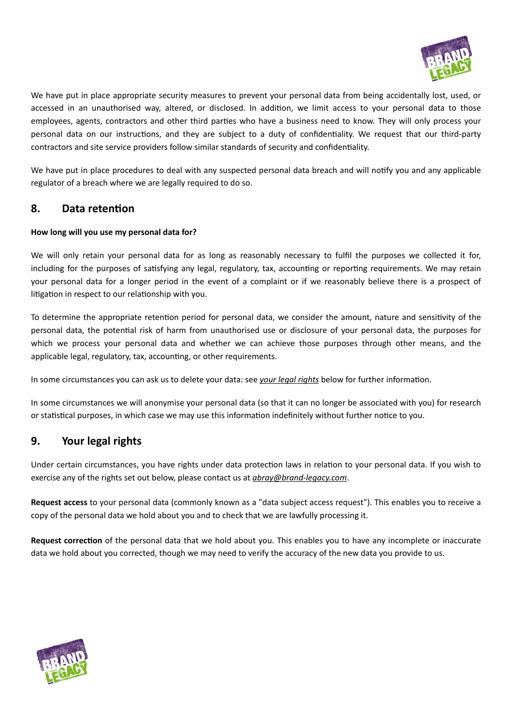

We have put in place appropriate security measures to prevent your personal data from being accidentally lost, used, or accessed in an unauthorised way, altered, or disclosed. In addition, we limit access to your personal data to those employees, agents, contractors and other third parties who have a business need to know. They will only process your personal data on our instructions, and they are subject to a duty of confidentiality. We request that our third-party contractors and site service providers follow similar standards of security and confidentiality.

We have put in place procedures to deal with any suspected personal data breach and will notify you and any applicable regulator of a breach where we are legally required to do so.

## **8. Data retention**

## **How long will you use my personal data for?**

We will only retain your personal data for as long as reasonably necessary to fulfil the purposes we collected it for, including for the purposes of satisfying any legal, regulatory, tax, accounting or reporting requirements. We may retain your personal data for a longer period in the event of a complaint or if we reasonably believe there is a prospect of litigation in respect to our relationship with you.

To determine the appropriate retention period for personal data, we consider the amount, nature and sensitivity of the personal data, the potential risk of harm from unauthorised use or disclosure of your personal data, the purposes for which we process your personal data and whether we can achieve those purposes through other means, and the applicable legal, regulatory, tax, accounting, or other requirements.

In some circumstances you can ask us to delete your data: see *your legal rights* below for further information.

In some circumstances we will anonymise your personal data (so that it can no longer be associated with you) for research or statistical purposes, in which case we may use this information indefinitely without further notice to you.

# **9. Your legal rights**

Under certain circumstances, you have rights under data protection laws in relation to your personal data. If you wish to exercise any of the rights set out below, please contact us at *[abray@brand-legacy.com](mailto:abray@brand-legacy.com)*.

**Request access** to your personal data (commonly known as a "data subject access request"). This enables you to receive a copy of the personal data we hold about you and to check that we are lawfully processing it.

**Request correction** of the personal data that we hold about you. This enables you to have any incomplete or inaccurate data we hold about you corrected, though we may need to verify the accuracy of the new data you provide to us.

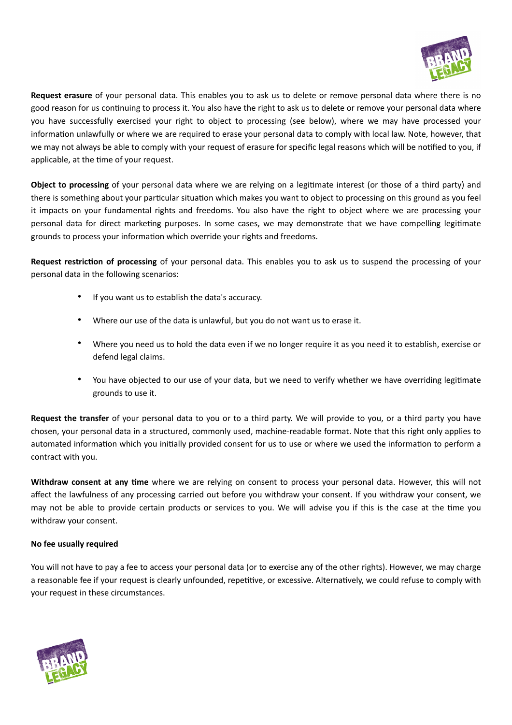

**Request erasure** of your personal data. This enables you to ask us to delete or remove personal data where there is no good reason for us continuing to process it. You also have the right to ask us to delete or remove your personal data where you have successfully exercised your right to object to processing (see below), where we may have processed your information unlawfully or where we are required to erase your personal data to comply with local law. Note, however, that we may not always be able to comply with your request of erasure for specific legal reasons which will be notified to you, if applicable, at the time of your request.

**Object to processing** of your personal data where we are relying on a legitimate interest (or those of a third party) and there is something about your particular situation which makes you want to object to processing on this ground as you feel it impacts on your fundamental rights and freedoms. You also have the right to object where we are processing your personal data for direct marketing purposes. In some cases, we may demonstrate that we have compelling legitimate grounds to process your information which override your rights and freedoms.

**Request restriction of processing** of your personal data. This enables you to ask us to suspend the processing of your personal data in the following scenarios:

- If you want us to establish the data's accuracy.
- Where our use of the data is unlawful, but you do not want us to erase it.
- Where you need us to hold the data even if we no longer require it as you need it to establish, exercise or defend legal claims.
- You have objected to our use of your data, but we need to verify whether we have overriding legitimate grounds to use it.

**Request the transfer** of your personal data to you or to a third party. We will provide to you, or a third party you have chosen, your personal data in a structured, commonly used, machine-readable format. Note that this right only applies to automated information which you initially provided consent for us to use or where we used the information to perform a contract with you.

**Withdraw consent at any time** where we are relying on consent to process your personal data. However, this will not affect the lawfulness of any processing carried out before you withdraw your consent. If you withdraw your consent, we may not be able to provide certain products or services to you. We will advise you if this is the case at the time you withdraw your consent.

## **No fee usually required**

You will not have to pay a fee to access your personal data (or to exercise any of the other rights). However, we may charge a reasonable fee if your request is clearly unfounded, repetitive, or excessive. Alternatively, we could refuse to comply with your request in these circumstances.

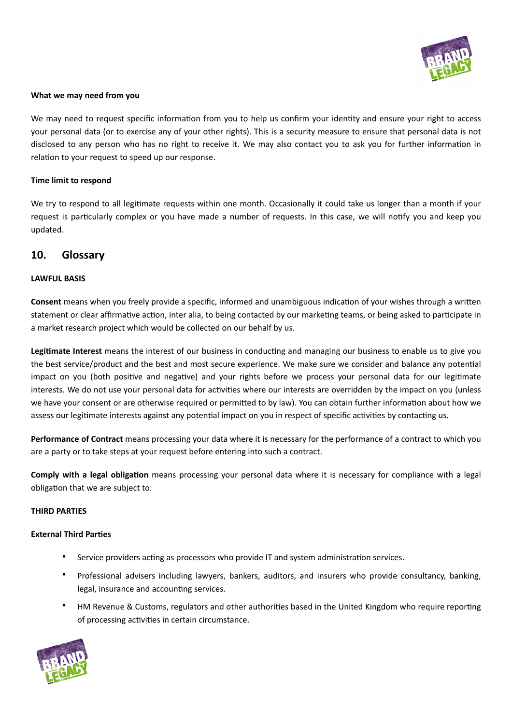

### **What we may need from you**

We may need to request specific information from you to help us confirm your identity and ensure your right to access your personal data (or to exercise any of your other rights). This is a security measure to ensure that personal data is not disclosed to any person who has no right to receive it. We may also contact you to ask you for further information in relation to your request to speed up our response.

### **Time limit to respond**

We try to respond to all legitimate requests within one month. Occasionally it could take us longer than a month if your request is particularly complex or you have made a number of requests. In this case, we will notify you and keep you updated.

## **10. Glossary**

### **LAWFUL BASIS**

**Consent** means when you freely provide a specific, informed and unambiguous indication of your wishes through a written statement or clear affirmative action, inter alia, to being contacted by our marketing teams, or being asked to participate in a market research project which would be collected on our behalf by us.

**Legitimate Interest** means the interest of our business in conducting and managing our business to enable us to give you the best service/product and the best and most secure experience. We make sure we consider and balance any potential impact on you (both positive and negative) and your rights before we process your personal data for our legitimate interests. We do not use your personal data for activities where our interests are overridden by the impact on you (unless we have your consent or are otherwise required or permitted to by law). You can obtain further information about how we assess our legitimate interests against any potential impact on you in respect of specific activities by contacting us.

**Performance of Contract** means processing your data where it is necessary for the performance of a contract to which you are a party or to take steps at your request before entering into such a contract.

**Comply with a legal obligation** means processing your personal data where it is necessary for compliance with a legal obligation that we are subject to.

### **THIRD PARTIES**

### **External Third Parties**

- Service providers acting as processors who provide IT and system administration services.
- Professional advisers including lawyers, bankers, auditors, and insurers who provide consultancy, banking, legal, insurance and accounting services.
- HM Revenue & Customs, regulators and other authorities based in the United Kingdom who require reporting of processing activities in certain circumstance.